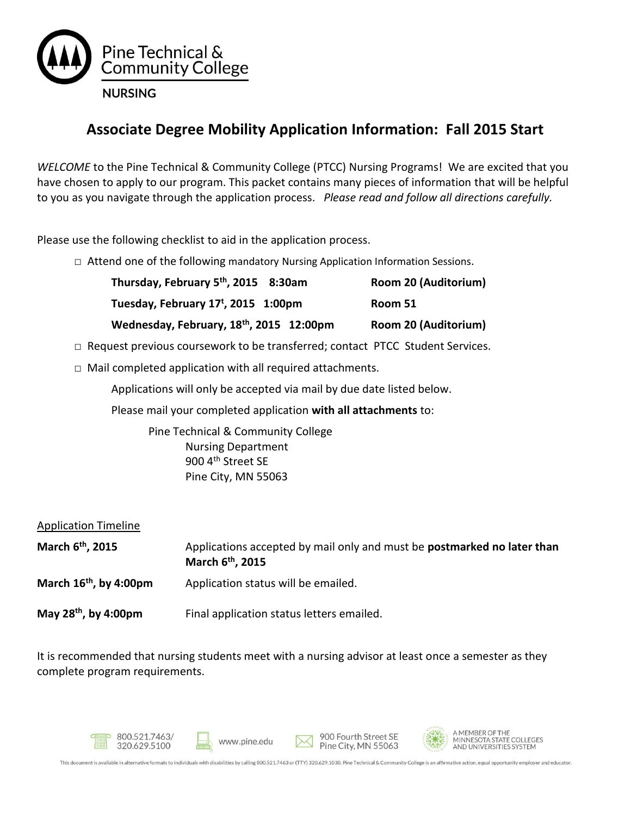

# **Associate Degree Mobility Application Information: Fall 2015 Start**

*WELCOME* to the Pine Technical & Community College (PTCC) Nursing Programs! We are excited that you have chosen to apply to our program. This packet contains many pieces of information that will be helpful to you as you navigate through the application process. *Please read and follow all directions carefully.* 

Please use the following checklist to aid in the application process.

**□** Attend one of the following mandatory Nursing Application Information Sessions.

| Thursday, February 5 <sup>th</sup> , 2015 8:30am | Room 20 (Auditorium) |
|--------------------------------------------------|----------------------|
| Tuesday, February 17 <sup>t</sup> , 2015 1:00pm  | Room 51              |
| Wednesday, February, 18th, 2015 12:00pm          | Room 20 (Auditorium) |

- $\Box$  Request previous coursework to be transferred; contact PTCC Student Services.
- $\Box$  Mail completed application with all required attachments.

Applications will only be accepted via mail by due date listed below.

Please mail your completed application **with all attachments** to:

Pine Technical & Community College Nursing Department 900 4<sup>th</sup> Street SE Pine City, MN 55063

| <b>Application Timeline</b>        |                                                                                                         |
|------------------------------------|---------------------------------------------------------------------------------------------------------|
| March 6 <sup>th</sup> , 2015       | Applications accepted by mail only and must be postmarked no later than<br>March 6 <sup>th</sup> , 2015 |
| March 16 <sup>th</sup> , by 4:00pm | Application status will be emailed.                                                                     |
| May 28 <sup>th</sup> , by 4:00pm   | Final application status letters emailed.                                                               |

It is recommended that nursing students meet with a nursing advisor at least once a semester as they complete program requirements.









A MEMBER OF THE MINNESOTA STATE COLLEGES<br>AND UNIVERSITIES SYSTEM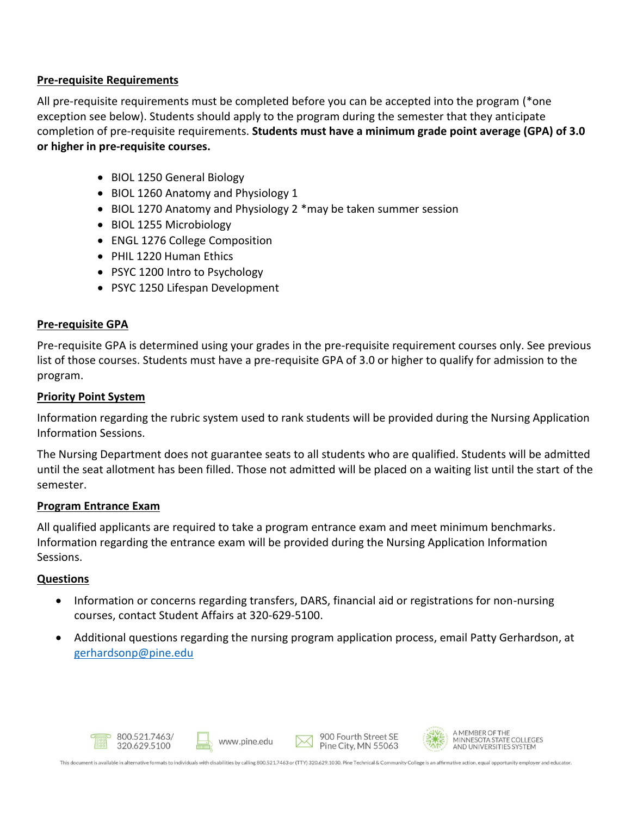### **Pre-requisite Requirements**

All pre-requisite requirements must be completed before you can be accepted into the program (\*one exception see below). Students should apply to the program during the semester that they anticipate completion of pre-requisite requirements. **Students must have a minimum grade point average (GPA) of 3.0 or higher in pre-requisite courses.** 

- BIOL 1250 General Biology
- BIOL 1260 Anatomy and Physiology 1
- BIOL 1270 Anatomy and Physiology 2 \*may be taken summer session
- BIOL 1255 Microbiology
- ENGL 1276 College Composition
- PHIL 1220 Human Ethics
- PSYC 1200 Intro to Psychology
- PSYC 1250 Lifespan Development

### **Pre-requisite GPA**

Pre-requisite GPA is determined using your grades in the pre-requisite requirement courses only. See previous list of those courses. Students must have a pre-requisite GPA of 3.0 or higher to qualify for admission to the program.

### **Priority Point System**

Information regarding the rubric system used to rank students will be provided during the Nursing Application Information Sessions.

The Nursing Department does not guarantee seats to all students who are qualified. Students will be admitted until the seat allotment has been filled. Those not admitted will be placed on a waiting list until the start of the semester.

### **Program Entrance Exam**

All qualified applicants are required to take a program entrance exam and meet minimum benchmarks. Information regarding the entrance exam will be provided during the Nursing Application Information Sessions.

### **Questions**

- Information or concerns regarding transfers, DARS, financial aid or registrations for non-nursing courses, contact Student Affairs at 320-629-5100.
- Additional questions regarding the nursing program application process, email Patty Gerhardson, at [gerhardsonp@pine.edu](mailto:gerhardsonp@pine.edu)









A MEMBER OF THE MINNESOTA STATE COLLEGES<br>AND UNIVERSITIES SYSTEM